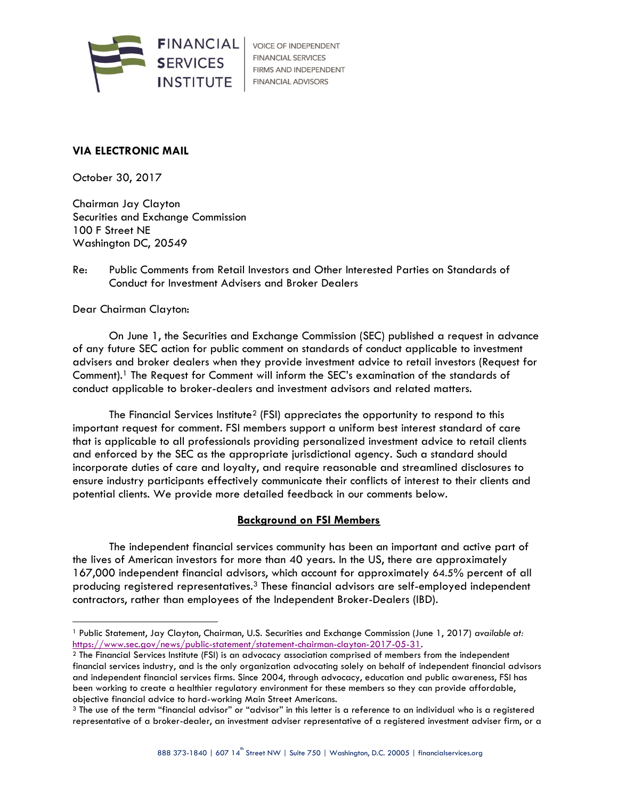

**VOICE OF INDEPENDENT FINANCIAL SERVICES** FIRMS AND INDEPENDENT **FINANCIAL ADVISORS** 

### **VIA ELECTRONIC MAIL**

October 30, 2017

Chairman Jay Clayton Securities and Exchange Commission 100 F Street NE Washington DC, 20549

### Re: Public Comments from Retail Investors and Other Interested Parties on Standards of Conduct for Investment Advisers and Broker Dealers

Dear Chairman Clayton:

j

On June 1, the Securities and Exchange Commission (SEC) published a request in advance of any future SEC action for public comment on standards of conduct applicable to investment advisers and broker dealers when they provide investment advice to retail investors (Request for Comment).<sup>1</sup> The Request for Comment will inform the SEC's examination of the standards of conduct applicable to broker-dealers and investment advisors and related matters.

The Financial Services Institute<sup>2</sup> (FSI) appreciates the opportunity to respond to this important request for comment. FSI members support a uniform best interest standard of care that is applicable to all professionals providing personalized investment advice to retail clients and enforced by the SEC as the appropriate jurisdictional agency. Such a standard should incorporate duties of care and loyalty, and require reasonable and streamlined disclosures to ensure industry participants effectively communicate their conflicts of interest to their clients and potential clients. We provide more detailed feedback in our comments below.

#### **Background on FSI Members**

The independent financial services community has been an important and active part of the lives of American investors for more than 40 years. In the US, there are approximately 167,000 independent financial advisors, which account for approximately 64.5% percent of all producing registered representatives.<sup>3</sup> These financial advisors are self-employed independent contractors, rather than employees of the Independent Broker-Dealers (IBD).

<sup>1</sup> Public Statement, Jay Clayton, Chairman, U.S. Securities and Exchange Commission (June 1, 2017) *available at:*  [https://www.sec.gov/news/public-statement/statement-chairman-clayton-2017-05-31.](https://www.sec.gov/news/public-statement/statement-chairman-clayton-2017-05-31)

<sup>2</sup> The Financial Services Institute (FSI) is an advocacy association comprised of members from the independent financial services industry, and is the only organization advocating solely on behalf of independent financial advisors and independent financial services firms. Since 2004, through advocacy, education and public awareness, FSI has been working to create a healthier regulatory environment for these members so they can provide affordable, objective financial advice to hard-working Main Street Americans.

<sup>3</sup> The use of the term "financial advisor" or "advisor" in this letter is a reference to an individual who is a registered representative of a broker-dealer, an investment adviser representative of a registered investment adviser firm, or a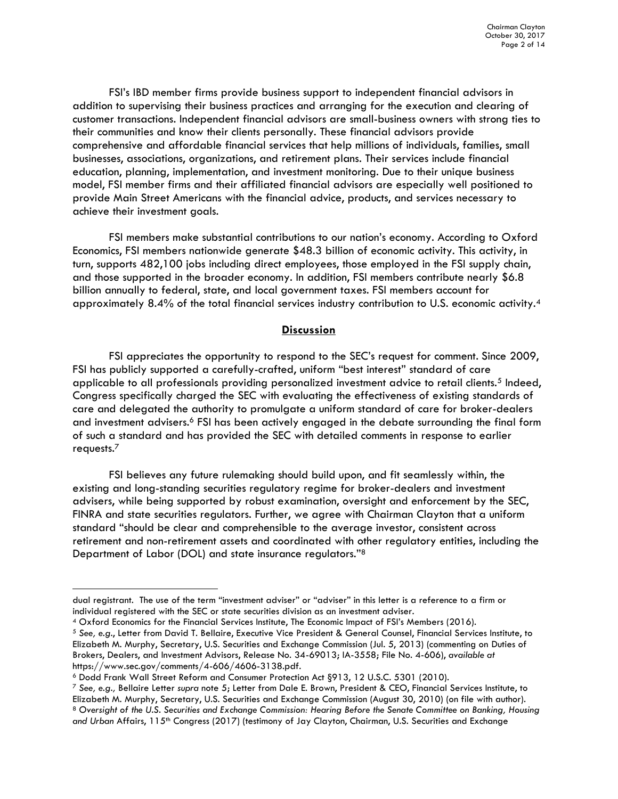FSI's IBD member firms provide business support to independent financial advisors in addition to supervising their business practices and arranging for the execution and clearing of customer transactions. Independent financial advisors are small-business owners with strong ties to their communities and know their clients personally. These financial advisors provide comprehensive and affordable financial services that help millions of individuals, families, small businesses, associations, organizations, and retirement plans. Their services include financial education, planning, implementation, and investment monitoring. Due to their unique business model, FSI member firms and their affiliated financial advisors are especially well positioned to provide Main Street Americans with the financial advice, products, and services necessary to achieve their investment goals.

FSI members make substantial contributions to our nation's economy. According to Oxford Economics, FSI members nationwide generate \$48.3 billion of economic activity. This activity, in turn, supports 482,100 jobs including direct employees, those employed in the FSI supply chain, and those supported in the broader economy. In addition, FSI members contribute nearly \$6.8 billion annually to federal, state, and local government taxes. FSI members account for approximately 8.4% of the total financial services industry contribution to U.S. economic activity.<sup>4</sup>

#### **Discussion**

FSI appreciates the opportunity to respond to the SEC's request for comment. Since 2009, FSI has publicly supported a carefully-crafted, uniform "best interest" standard of care applicable to all professionals providing personalized investment advice to retail clients.<sup>5</sup> Indeed, Congress specifically charged the SEC with evaluating the effectiveness of existing standards of care and delegated the authority to promulgate a uniform standard of care for broker-dealers and investment advisers.<sup>6</sup> FSI has been actively engaged in the debate surrounding the final form of such a standard and has provided the SEC with detailed comments in response to earlier requests.<sup>7</sup>

FSI believes any future rulemaking should build upon, and fit seamlessly within, the existing and long-standing securities regulatory regime for broker-dealers and investment advisers, while being supported by robust examination, oversight and enforcement by the SEC, FINRA and state securities regulators. Further, we agree with Chairman Clayton that a uniform standard "should be clear and comprehensible to the average investor, consistent across retirement and non-retirement assets and coordinated with other regulatory entities, including the Department of Labor (DOL) and state insurance regulators."<sup>8</sup>

dual registrant. The use of the term "investment adviser" or "adviser" in this letter is a reference to a firm or individual registered with the SEC or state securities division as an investment adviser.

<sup>4</sup> Oxford Economics for the Financial Services Institute, The Economic Impact of FSI's Members (2016).

<sup>5</sup> *See, e.g.*, Letter from David T. Bellaire, Executive Vice President & General Counsel, Financial Services Institute, to Elizabeth M. Murphy, Secretary, U.S. Securities and Exchange Commission (Jul. 5, 2013) (commenting on Duties of Brokers, Dealers, and Investment Advisors, Release No. 34-69013; IA-3558; File No. 4-606), *available at*  https://www.sec.gov/comments/4-606/4606-3138.pdf.

<sup>6</sup> Dodd Frank Wall Street Reform and Consumer Protection Act §913, 12 U.S.C. 5301 (2010).

<sup>7</sup> *See, e.g.,* Bellaire Letter *supra* note 5; Letter from Dale E. Brown, President & CEO, Financial Services Institute, to Elizabeth M. Murphy, Secretary, U.S. Securities and Exchange Commission (August 30, 2010) (on file with author). <sup>8</sup> *Oversight of the U.S. Securities and Exchange Commission: Hearing Before the Senate Committee on Banking, Housing*  and Urban Affairs, 115<sup>th</sup> Congress (2017) (testimony of Jay Clayton, Chairman, U.S. Securities and Exchange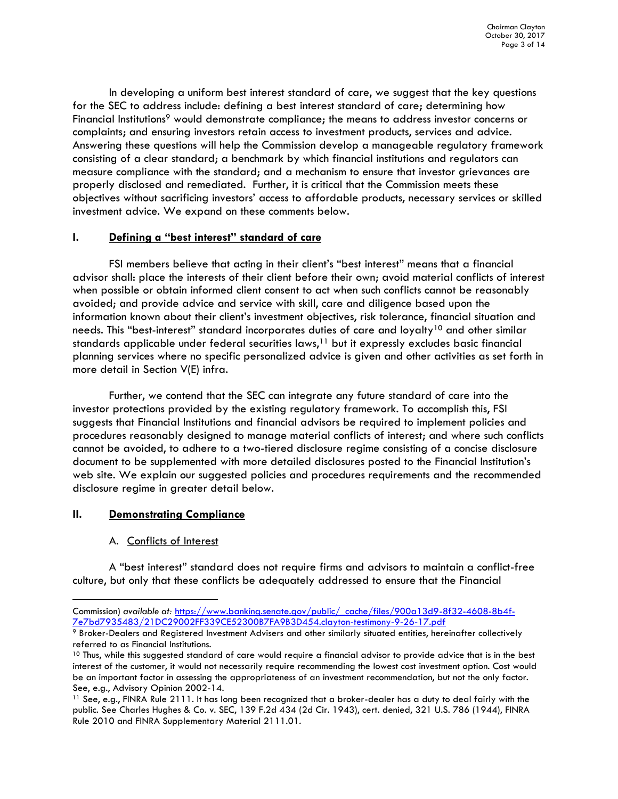In developing a uniform best interest standard of care, we suggest that the key questions for the SEC to address include: defining a best interest standard of care; determining how Financial Institutions<sup>9</sup> would demonstrate compliance; the means to address investor concerns or complaints; and ensuring investors retain access to investment products, services and advice. Answering these questions will help the Commission develop a manageable regulatory framework consisting of a clear standard; a benchmark by which financial institutions and regulators can measure compliance with the standard; and a mechanism to ensure that investor grievances are properly disclosed and remediated. Further, it is critical that the Commission meets these objectives without sacrificing investors' access to affordable products, necessary services or skilled investment advice. We expand on these comments below.

### **I. Defining a "best interest" standard of care**

FSI members believe that acting in their client's "best interest" means that a financial advisor shall: place the interests of their client before their own; avoid material conflicts of interest when possible or obtain informed client consent to act when such conflicts cannot be reasonably avoided; and provide advice and service with skill, care and diligence based upon the information known about their client's investment objectives, risk tolerance, financial situation and needs. This "best-interest" standard incorporates duties of care and loyalty<sup>10</sup> and other similar standards applicable under federal securities laws,<sup>11</sup> but it expressly excludes basic financial planning services where no specific personalized advice is given and other activities as set forth in more detail in Section V(E) infra.

Further, we contend that the SEC can integrate any future standard of care into the investor protections provided by the existing regulatory framework. To accomplish this, FSI suggests that Financial Institutions and financial advisors be required to implement policies and procedures reasonably designed to manage material conflicts of interest; and where such conflicts cannot be avoided, to adhere to a two-tiered disclosure regime consisting of a concise disclosure document to be supplemented with more detailed disclosures posted to the Financial Institution's web site. We explain our suggested policies and procedures requirements and the recommended disclosure regime in greater detail below.

# **II. Demonstrating Compliance**

-

# A. Conflicts of Interest

A "best interest" standard does not require firms and advisors to maintain a conflict-free culture, but only that these conflicts be adequately addressed to ensure that the Financial

Commission) *available at:* [https://www.banking.senate.gov/public/\\_cache/files/900a13d9-8f32-4608-8b4f-](https://www.banking.senate.gov/public/_cache/files/900a13d9-8f32-4608-8b4f-7e7bd7935483/21DC29002FF339CE52300B7FA9B3D454.clayton-testimony-9-26-17.pdf)[7e7bd7935483/21DC29002FF339CE52300B7FA9B3D454.clayton-testimony-9-26-17.pdf](https://www.banking.senate.gov/public/_cache/files/900a13d9-8f32-4608-8b4f-7e7bd7935483/21DC29002FF339CE52300B7FA9B3D454.clayton-testimony-9-26-17.pdf)

<sup>9</sup> Broker-Dealers and Registered Investment Advisers and other similarly situated entities, hereinafter collectively referred to as Financial Institutions.

<sup>&</sup>lt;sup>10</sup> Thus, while this suggested standard of care would require a financial advisor to provide advice that is in the best interest of the customer, it would not necessarily require recommending the lowest cost investment option. Cost would be an important factor in assessing the appropriateness of an investment recommendation, but not the only factor. See, e.g., Advisory Opinion 2002-14.

<sup>11</sup> See, e.g., FINRA Rule 2111. It has long been recognized that a broker-dealer has a duty to deal fairly with the public. See Charles Hughes & Co. v. SEC, 139 F.2d 434 (2d Cir. 1943), cert. denied, 321 U.S. 786 (1944), FINRA Rule 2010 and FINRA Supplementary Material 2111.01.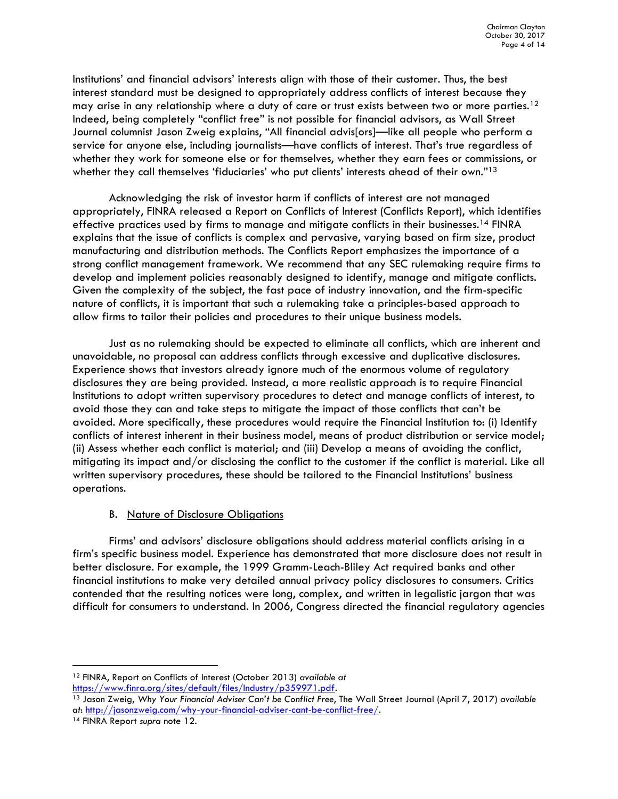Institutions' and financial advisors' interests align with those of their customer. Thus, the best interest standard must be designed to appropriately address conflicts of interest because they may arise in any relationship where a duty of care or trust exists between two or more parties.<sup>12</sup> Indeed, being completely "conflict free" is not possible for financial advisors, as Wall Street Journal columnist Jason Zweig explains, "All financial advis[ors]—like all people who perform a service for anyone else, including journalists—have conflicts of interest. That's true regardless of whether they work for someone else or for themselves, whether they earn fees or commissions, or whether they call themselves 'fiduciaries' who put clients' interests ahead of their own."13

Acknowledging the risk of investor harm if conflicts of interest are not managed appropriately, FINRA released a Report on Conflicts of Interest (Conflicts Report), which identifies effective practices used by firms to manage and mitigate conflicts in their businesses.<sup>14</sup> FINRA explains that the issue of conflicts is complex and pervasive, varying based on firm size, product manufacturing and distribution methods. The Conflicts Report emphasizes the importance of a strong conflict management framework. We recommend that any SEC rulemaking require firms to develop and implement policies reasonably designed to identify, manage and mitigate conflicts. Given the complexity of the subject, the fast pace of industry innovation, and the firm-specific nature of conflicts, it is important that such a rulemaking take a principles-based approach to allow firms to tailor their policies and procedures to their unique business models.

Just as no rulemaking should be expected to eliminate all conflicts, which are inherent and unavoidable, no proposal can address conflicts through excessive and duplicative disclosures. Experience shows that investors already ignore much of the enormous volume of regulatory disclosures they are being provided. Instead, a more realistic approach is to require Financial Institutions to adopt written supervisory procedures to detect and manage conflicts of interest, to avoid those they can and take steps to mitigate the impact of those conflicts that can't be avoided. More specifically, these procedures would require the Financial Institution to: (i) Identify conflicts of interest inherent in their business model, means of product distribution or service model; (ii) Assess whether each conflict is material; and (iii) Develop a means of avoiding the conflict, mitigating its impact and/or disclosing the conflict to the customer if the conflict is material. Like all written supervisory procedures, these should be tailored to the Financial Institutions' business operations.

#### B. Nature of Disclosure Obligations

Firms' and advisors' disclosure obligations should address material conflicts arising in a firm's specific business model. Experience has demonstrated that more disclosure does not result in better disclosure. For example, the 1999 Gramm-Leach-Bliley Act required banks and other financial institutions to make very detailed annual privacy policy disclosures to consumers. Critics contended that the resulting notices were long, complex, and written in legalistic jargon that was difficult for consumers to understand. In 2006, Congress directed the financial regulatory agencies

<sup>12</sup> FINRA, Report on Conflicts of Interest (October 2013) *available at* [https://www.finra.org/sites/default/files/Industry/p359971.pdf.](https://www.finra.org/sites/default/files/Industry/p359971.pdf)

<sup>13</sup> Jason Zweig, *Why Your Financial Adviser Can't be Conflict Free*, The Wall Street Journal (April 7, 2017) *available at*[: http://jasonzweig.com/why-your-financial-adviser-cant-be-conflict-free/.](http://jasonzweig.com/why-your-financial-adviser-cant-be-conflict-free/)

<sup>14</sup> FINRA Report *supra* note 12.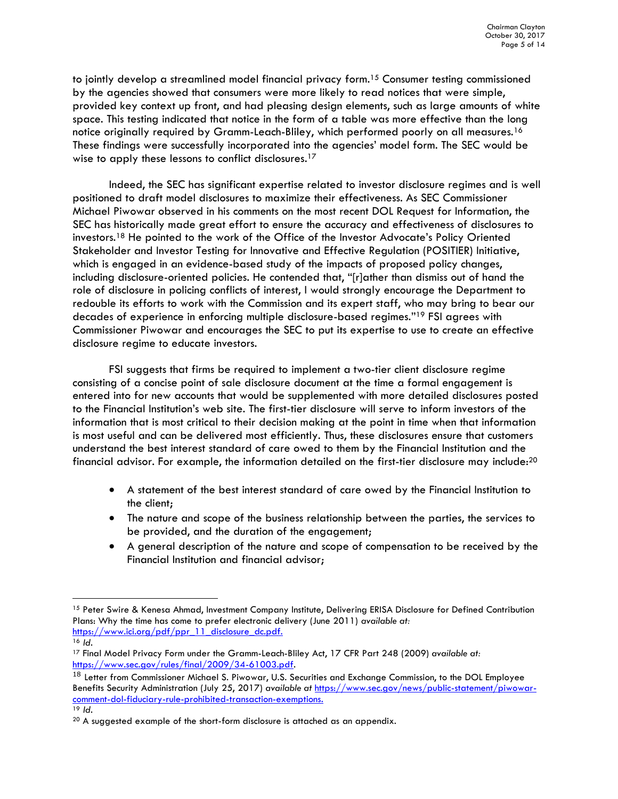to jointly develop a streamlined model financial privacy form.<sup>15</sup> Consumer testing commissioned by the agencies showed that consumers were more likely to read notices that were simple, provided key context up front, and had pleasing design elements, such as large amounts of white space. This testing indicated that notice in the form of a table was more effective than the long notice originally required by Gramm-Leach-Bliley, which performed poorly on all measures.<sup>16</sup> These findings were successfully incorporated into the agencies' model form. The SEC would be wise to apply these lessons to conflict disclosures.<sup>17</sup>

Indeed, the SEC has significant expertise related to investor disclosure regimes and is well positioned to draft model disclosures to maximize their effectiveness. As SEC Commissioner Michael Piwowar observed in his comments on the most recent DOL Request for Information, the SEC has historically made great effort to ensure the accuracy and effectiveness of disclosures to investors.<sup>18</sup> He pointed to the work of the Office of the Investor Advocate's Policy Oriented Stakeholder and Investor Testing for Innovative and Effective Regulation (POSITIER) Initiative, which is engaged in an evidence-based study of the impacts of proposed policy changes, including disclosure-oriented policies. He contended that, "[r]ather than dismiss out of hand the role of disclosure in policing conflicts of interest, I would strongly encourage the Department to redouble its efforts to work with the Commission and its expert staff, who may bring to bear our decades of experience in enforcing multiple disclosure-based regimes."<sup>19</sup> FSI agrees with Commissioner Piwowar and encourages the SEC to put its expertise to use to create an effective disclosure regime to educate investors.

FSI suggests that firms be required to implement a two-tier client disclosure regime consisting of a concise point of sale disclosure document at the time a formal engagement is entered into for new accounts that would be supplemented with more detailed disclosures posted to the Financial Institution's web site. The first-tier disclosure will serve to inform investors of the information that is most critical to their decision making at the point in time when that information is most useful and can be delivered most efficiently. Thus, these disclosures ensure that customers understand the best interest standard of care owed to them by the Financial Institution and the financial advisor. For example, the information detailed on the first-tier disclosure may include:<sup>20</sup>

- A statement of the best interest standard of care owed by the Financial Institution to the client;
- The nature and scope of the business relationship between the parties, the services to be provided, and the duration of the engagement;
- A general description of the nature and scope of compensation to be received by the Financial Institution and financial advisor;

-

<sup>&</sup>lt;sup>15</sup> Peter Swire & Kenesa Ahmad, Investment Company Institute, Delivering ERISA Disclosure for Defined Contribution Plans: Why the time has come to prefer electronic delivery (June 2011) *available at:* [https://www.ici.org/pdf/ppr\\_11\\_disclosure\\_dc.pdf.](https://www.ici.org/pdf/ppr_11_disclosure_dc.pdf)

<sup>16</sup> *Id.*

<sup>17</sup> Final Model Privacy Form under the Gramm-Leach-Bliley Act, 17 CFR Part 248 (2009) *available at:* [https://www.sec.gov/rules/final/2009/34-61003.pdf.](https://www.sec.gov/rules/final/2009/34-61003.pdf)

<sup>&</sup>lt;sup>18</sup> Letter from Commissioner Michael S. Piwowar, U.S. Securities and Exchange Commission, to the DOL Employee Benefits Security Administration (July 25, 2017) *available at* [https://www.sec.gov/news/public-statement/piwowar](https://www.sec.gov/news/public-statement/piwowar-comment-dol-fiduciary-rule-prohibited-transaction-exemptions)[comment-dol-fiduciary-rule-prohibited-transaction-exemptions.](https://www.sec.gov/news/public-statement/piwowar-comment-dol-fiduciary-rule-prohibited-transaction-exemptions)

<sup>19</sup> *Id.*

<sup>&</sup>lt;sup>20</sup> A suggested example of the short-form disclosure is attached as an appendix.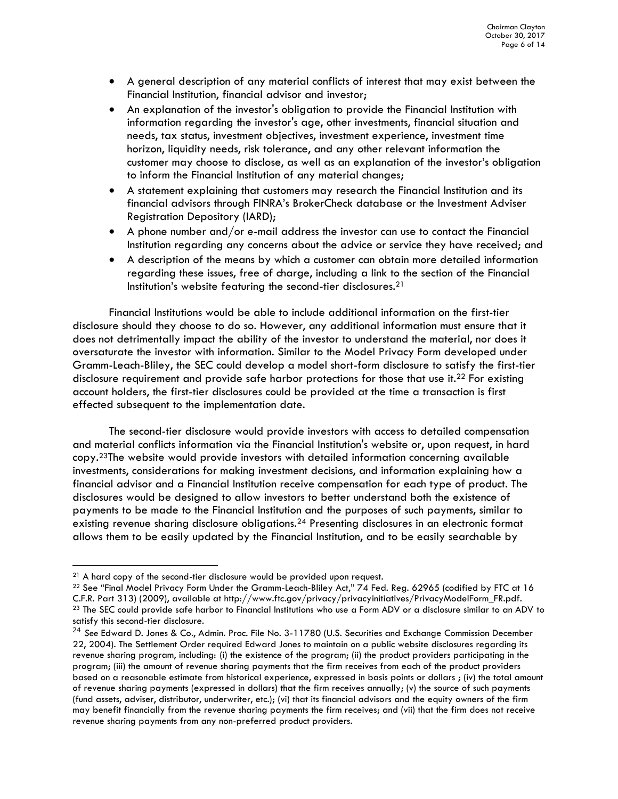- A general description of any material conflicts of interest that may exist between the Financial Institution, financial advisor and investor;
- An explanation of the investor's obligation to provide the Financial Institution with information regarding the investor's age, other investments, financial situation and needs, tax status, investment objectives, investment experience, investment time horizon, liquidity needs, risk tolerance, and any other relevant information the customer may choose to disclose, as well as an explanation of the investor's obligation to inform the Financial Institution of any material changes;
- A statement explaining that customers may research the Financial Institution and its financial advisors through FINRA's BrokerCheck database or the Investment Adviser Registration Depository (IARD);
- A phone number and/or e-mail address the investor can use to contact the Financial Institution regarding any concerns about the advice or service they have received; and
- A description of the means by which a customer can obtain more detailed information regarding these issues, free of charge, including a link to the section of the Financial Institution's website featuring the second-tier disclosures. 21

Financial Institutions would be able to include additional information on the first-tier disclosure should they choose to do so. However, any additional information must ensure that it does not detrimentally impact the ability of the investor to understand the material, nor does it oversaturate the investor with information. Similar to the Model Privacy Form developed under Gramm-Leach-Bliley, the SEC could develop a model short-form disclosure to satisfy the first-tier disclosure requirement and provide safe harbor protections for those that use it.<sup>22</sup> For existing account holders, the first-tier disclosures could be provided at the time a transaction is first effected subsequent to the implementation date.

The second-tier disclosure would provide investors with access to detailed compensation and material conflicts information via the Financial Institution's website or, upon request, in hard copy. <sup>23</sup>The website would provide investors with detailed information concerning available investments, considerations for making investment decisions, and information explaining how a financial advisor and a Financial Institution receive compensation for each type of product. The disclosures would be designed to allow investors to better understand both the existence of payments to be made to the Financial Institution and the purposes of such payments, similar to existing revenue sharing disclosure obligations.<sup>24</sup> Presenting disclosures in an electronic format allows them to be easily updated by the Financial Institution, and to be easily searchable by

-

 $21$  A hard copy of the second-tier disclosure would be provided upon request.

<sup>&</sup>lt;sup>22</sup> See "Final Model Privacy Form Under the Gramm-Leach-Bliley Act," 74 Fed. Reg. 62965 (codified by FTC at 16 C.F.R. Part 313) (2009), available at http://www.ftc.gov/privacy/privacyinitiatives/PrivacyModelForm\_FR.pdf. <sup>23</sup> The SEC could provide safe harbor to Financial Institutions who use a Form ADV or a disclosure similar to an ADV to satisfy this second-tier disclosure.

<sup>24</sup> *See* Edward D. Jones & Co., Admin. Proc. File No. 3-11780 (U.S. Securities and Exchange Commission December 22, 2004). The Settlement Order required Edward Jones to maintain on a public website disclosures regarding its revenue sharing program, including: (i) the existence of the program; (ii) the product providers participating in the program; (iii) the amount of revenue sharing payments that the firm receives from each of the product providers based on a reasonable estimate from historical experience, expressed in basis points or dollars ; (iv) the total amount of revenue sharing payments (expressed in dollars) that the firm receives annually; (v) the source of such payments (fund assets, adviser, distributor, underwriter, etc.); (vi) that its financial advisors and the equity owners of the firm may benefit financially from the revenue sharing payments the firm receives; and (vii) that the firm does not receive revenue sharing payments from any non-preferred product providers.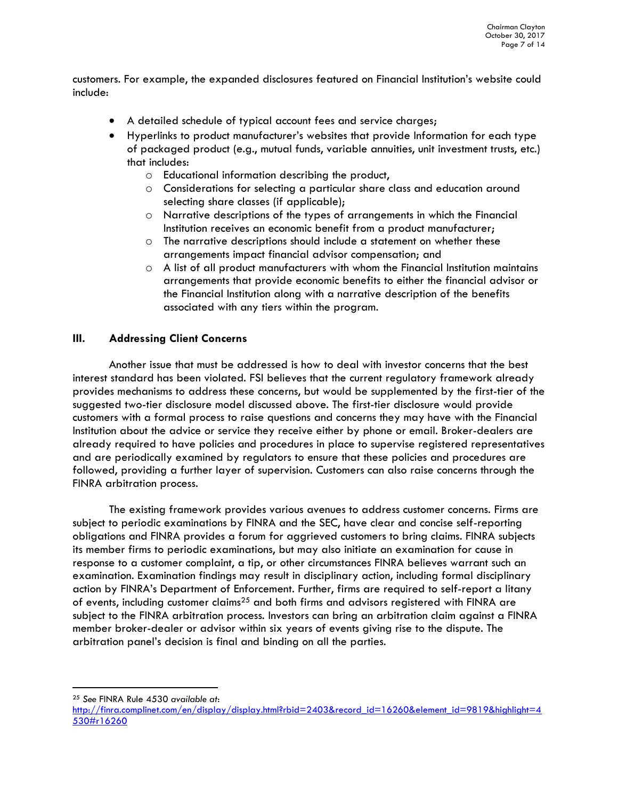customers. For example, the expanded disclosures featured on Financial Institution's website could include:

- A detailed schedule of typical account fees and service charges;
- Hyperlinks to product manufacturer's websites that provide Information for each type of packaged product (e.g., mutual funds, variable annuities, unit investment trusts, etc.) that includes:
	- o Educational information describing the product,
	- o Considerations for selecting a particular share class and education around selecting share classes (if applicable);
	- o Narrative descriptions of the types of arrangements in which the Financial Institution receives an economic benefit from a product manufacturer;
	- o The narrative descriptions should include a statement on whether these arrangements impact financial advisor compensation; and
	- $\circ$  A list of all product manufacturers with whom the Financial Institution maintains arrangements that provide economic benefits to either the financial advisor or the Financial Institution along with a narrative description of the benefits associated with any tiers within the program.

#### **III. Addressing Client Concerns**

Another issue that must be addressed is how to deal with investor concerns that the best interest standard has been violated. FSI believes that the current regulatory framework already provides mechanisms to address these concerns, but would be supplemented by the first-tier of the suggested two-tier disclosure model discussed above. The first-tier disclosure would provide customers with a formal process to raise questions and concerns they may have with the Financial Institution about the advice or service they receive either by phone or email. Broker-dealers are already required to have policies and procedures in place to supervise registered representatives and are periodically examined by regulators to ensure that these policies and procedures are followed, providing a further layer of supervision. Customers can also raise concerns through the FINRA arbitration process.

The existing framework provides various avenues to address customer concerns. Firms are subject to periodic examinations by FINRA and the SEC, have clear and concise self-reporting obligations and FINRA provides a forum for aggrieved customers to bring claims. FINRA subjects its member firms to periodic examinations, but may also initiate an examination for cause in response to a customer complaint, a tip, or other circumstances FINRA believes warrant such an examination. Examination findings may result in disciplinary action, including formal disciplinary action by FINRA's Department of Enforcement. Further, firms are required to self-report a litany of events, including customer claims<sup>25</sup> and both firms and advisors registered with FINRA are subject to the FINRA arbitration process. Investors can bring an arbitration claim against a FINRA member broker-dealer or advisor within six years of events giving rise to the dispute. The arbitration panel's decision is final and binding on all the parties.

j <sup>25</sup> *See* FINRA Rule 4530 *available at*:

[http://finra.complinet.com/en/display/display.html?rbid=2403&record\\_id=16260&element\\_id=9819&highlight=4](http://finra.complinet.com/en/display/display.html?rbid=2403&record_id=16260&element_id=9819&highlight=4530#r16260) [530#r16260](http://finra.complinet.com/en/display/display.html?rbid=2403&record_id=16260&element_id=9819&highlight=4530#r16260)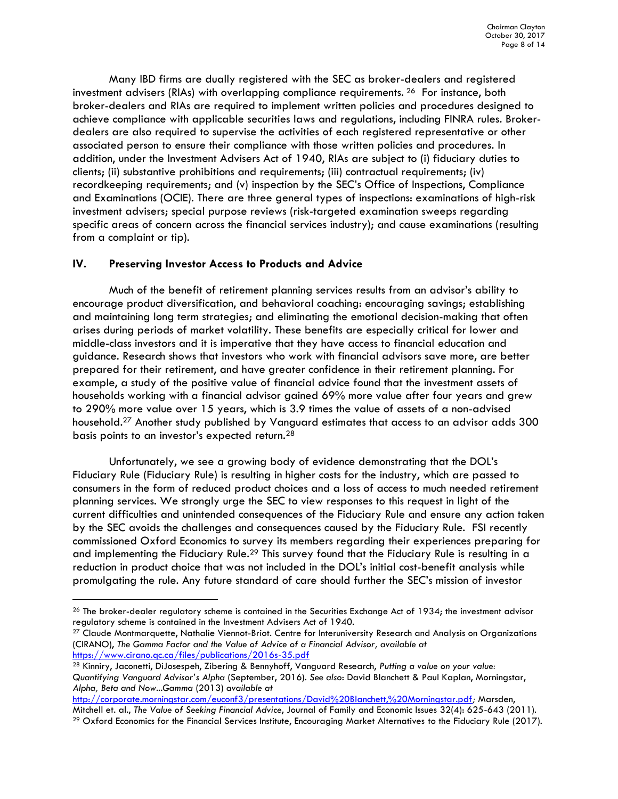Many IBD firms are dually registered with the SEC as broker-dealers and registered investment advisers (RIAs) with overlapping compliance requirements. <sup>26</sup> For instance, both broker-dealers and RIAs are required to implement written policies and procedures designed to achieve compliance with applicable securities laws and regulations, including FINRA rules. Brokerdealers are also required to supervise the activities of each registered representative or other associated person to ensure their compliance with those written policies and procedures. In addition, under the Investment Advisers Act of 1940, RIAs are subject to (i) fiduciary duties to clients; (ii) substantive prohibitions and requirements; (iii) contractual requirements; (iv) recordkeeping requirements; and (v) inspection by the SEC's Office of Inspections, Compliance and Examinations (OCIE). There are three general types of inspections: examinations of high-risk investment advisers; special purpose reviews (risk-targeted examination sweeps regarding specific areas of concern across the financial services industry); and cause examinations (resulting from a complaint or tip).

#### **IV. Preserving Investor Access to Products and Advice**

-

Much of the benefit of retirement planning services results from an advisor's ability to encourage product diversification, and behavioral coaching: encouraging savings; establishing and maintaining long term strategies; and eliminating the emotional decision-making that often arises during periods of market volatility. These benefits are especially critical for lower and middle-class investors and it is imperative that they have access to financial education and guidance. Research shows that investors who work with financial advisors save more, are better prepared for their retirement, and have greater confidence in their retirement planning. For example, a study of the positive value of financial advice found that the investment assets of households working with a financial advisor gained 69% more value after four years and grew to 290% more value over 15 years, which is 3.9 times the value of assets of a non-advised household.<sup>27</sup> Another study published by Vanguard estimates that access to an advisor adds 300 basis points to an investor's expected return.<sup>28</sup>

Unfortunately, we see a growing body of evidence demonstrating that the DOL's Fiduciary Rule (Fiduciary Rule) is resulting in higher costs for the industry, which are passed to consumers in the form of reduced product choices and a loss of access to much needed retirement planning services. We strongly urge the SEC to view responses to this request in light of the current difficulties and unintended consequences of the Fiduciary Rule and ensure any action taken by the SEC avoids the challenges and consequences caused by the Fiduciary Rule. FSI recently commissioned Oxford Economics to survey its members regarding their experiences preparing for and implementing the Fiduciary Rule.<sup>29</sup> This survey found that the Fiduciary Rule is resulting in a reduction in product choice that was not included in the DOL's initial cost-benefit analysis while promulgating the rule. Any future standard of care should further the SEC's mission of investor

 $26$  The broker-dealer regulatory scheme is contained in the Securities Exchange Act of 1934; the investment advisor regulatory scheme is contained in the Investment Advisers Act of 1940.

<sup>&</sup>lt;sup>27</sup> Claude Montmarquette, Nathalie Viennot-Briot. Centre for Interuniversity Research and Analysis on Organizations (CIRANO), *The Gamma Factor and the Value of Advice of a Financial Advisor, available at*  <https://www.cirano.qc.ca/files/publications/2016s-35.pdf>

<sup>28</sup> Kinniry, Jaconetti, DiJosespeh, Zibering & Bennyhoff, Vanguard Research, *Putting a value on your value: Quantifying Vanguard Advisor's Alpha* (September, 2016). *See also*: David Blanchett & Paul Kaplan, Morningstar, *Alpha, Beta and Now...Gamma* (2013) *available at* 

<http://corporate.morningstar.com/euconf3/presentations/David%20Blanchett,%20Morningstar.pdf>*;* Marsden, Mitchell et. al., *The Value of Seeking Financial Advice*, Journal of Family and Economic Issues 32(4): 625-643 (2011). <sup>29</sup> Oxford Economics for the Financial Services Institute, Encouraging Market Alternatives to the Fiduciary Rule (2017).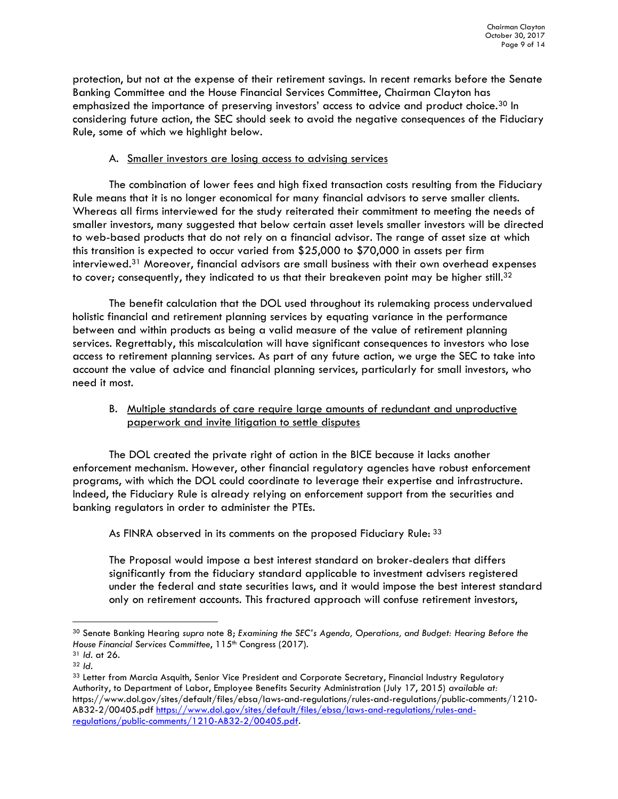protection, but not at the expense of their retirement savings. In recent remarks before the Senate Banking Committee and the House Financial Services Committee, Chairman Clayton has emphasized the importance of preserving investors' access to advice and product choice.<sup>30</sup> In considering future action, the SEC should seek to avoid the negative consequences of the Fiduciary Rule, some of which we highlight below.

#### A. Smaller investors are losing access to advising services

The combination of lower fees and high fixed transaction costs resulting from the Fiduciary Rule means that it is no longer economical for many financial advisors to serve smaller clients. Whereas all firms interviewed for the study reiterated their commitment to meeting the needs of smaller investors, many suggested that below certain asset levels smaller investors will be directed to web-based products that do not rely on a financial advisor. The range of asset size at which this transition is expected to occur varied from \$25,000 to \$70,000 in assets per firm interviewed.<sup>31</sup> Moreover, financial advisors are small business with their own overhead expenses to cover; consequently, they indicated to us that their breakeven point may be higher still. $32$ 

The benefit calculation that the DOL used throughout its rulemaking process undervalued holistic financial and retirement planning services by equating variance in the performance between and within products as being a valid measure of the value of retirement planning services. Regrettably, this miscalculation will have significant consequences to investors who lose access to retirement planning services. As part of any future action, we urge the SEC to take into account the value of advice and financial planning services, particularly for small investors, who need it most.

# B. Multiple standards of care require large amounts of redundant and unproductive paperwork and invite litigation to settle disputes

The DOL created the private right of action in the BICE because it lacks another enforcement mechanism. However, other financial regulatory agencies have robust enforcement programs, with which the DOL could coordinate to leverage their expertise and infrastructure. Indeed, the Fiduciary Rule is already relying on enforcement support from the securities and banking regulators in order to administer the PTEs.

As FINRA observed in its comments on the proposed Fiduciary Rule: 33

The Proposal would impose a best interest standard on broker-dealers that differs significantly from the fiduciary standard applicable to investment advisers registered under the federal and state securities laws, and it would impose the best interest standard only on retirement accounts. This fractured approach will confuse retirement investors,

<sup>30</sup> Senate Banking Hearing *supra* note 8; *Examining the SEC's Agenda, Operations, and Budget: Hearing Before the House Financial Services Committee, 115<sup>th</sup> Congress (2017).* 

<sup>31</sup> *Id.* at 26.

<sup>32</sup> *Id.*

<sup>33</sup> Letter from Marcia Asquith, Senior Vice President and Corporate Secretary, Financial Industry Regulatory Authority, to Department of Labor, Employee Benefits Security Administration (July 17, 2015) *available at:* https://www.dol.gov/sites/default/files/ebsa/laws-and-regulations/rules-and-regulations/public-comments/1210- AB32-2/00405.pdf [https://www.dol.gov/sites/default/files/ebsa/laws-and-regulations/rules-and](https://www.dol.gov/sites/default/files/ebsa/laws-and-regulations/rules-and-regulations/public-comments/1210-AB32-2/00405.pdf)[regulations/public-comments/1210-AB32-2/00405.pdf.](https://www.dol.gov/sites/default/files/ebsa/laws-and-regulations/rules-and-regulations/public-comments/1210-AB32-2/00405.pdf)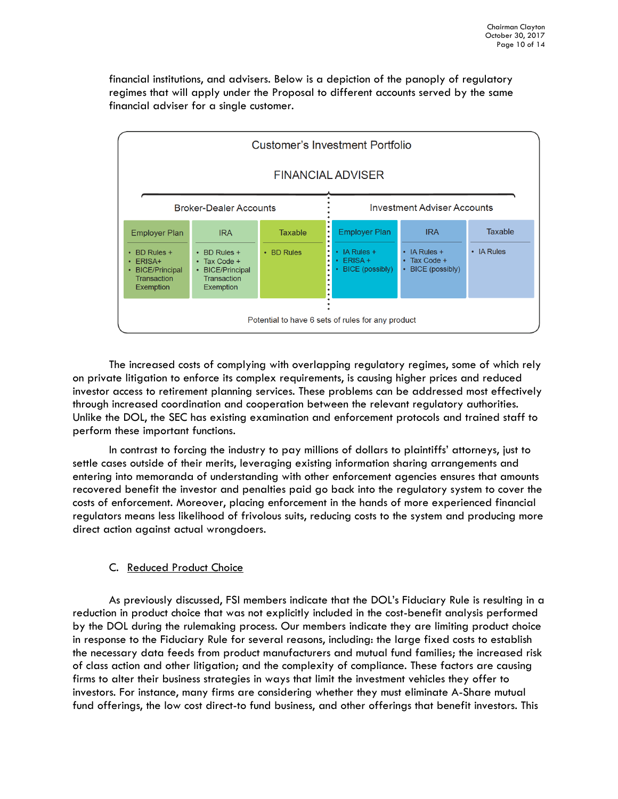financial institutions, and advisers. Below is a depiction of the panoply of regulatory regimes that will apply under the Proposal to different accounts served by the same financial adviser for a single customer.



The increased costs of complying with overlapping regulatory regimes, some of which rely on private litigation to enforce its complex requirements, is causing higher prices and reduced investor access to retirement planning services. These problems can be addressed most effectively through increased coordination and cooperation between the relevant regulatory authorities. Unlike the DOL, the SEC has existing examination and enforcement protocols and trained staff to perform these important functions.

In contrast to forcing the industry to pay millions of dollars to plaintiffs' attorneys, just to settle cases outside of their merits, leveraging existing information sharing arrangements and entering into memoranda of understanding with other enforcement agencies ensures that amounts recovered benefit the investor and penalties paid go back into the regulatory system to cover the costs of enforcement. Moreover, placing enforcement in the hands of more experienced financial regulators means less likelihood of frivolous suits, reducing costs to the system and producing more direct action against actual wrongdoers.

# C. Reduced Product Choice

As previously discussed, FSI members indicate that the DOL's Fiduciary Rule is resulting in a reduction in product choice that was not explicitly included in the cost-benefit analysis performed by the DOL during the rulemaking process. Our members indicate they are limiting product choice in response to the Fiduciary Rule for several reasons, including: the large fixed costs to establish the necessary data feeds from product manufacturers and mutual fund families; the increased risk of class action and other litigation; and the complexity of compliance. These factors are causing firms to alter their business strategies in ways that limit the investment vehicles they offer to investors. For instance, many firms are considering whether they must eliminate A-Share mutual fund offerings, the low cost direct-to fund business, and other offerings that benefit investors. This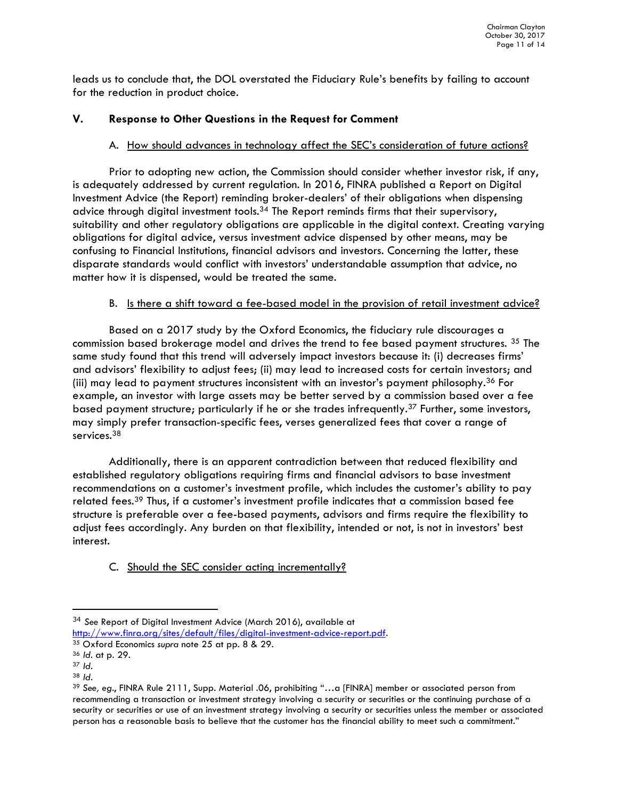leads us to conclude that, the DOL overstated the Fiduciary Rule's benefits by failing to account for the reduction in product choice.

# **V. Response to Other Questions in the Request for Comment**

# A. How should advances in technology affect the SEC's consideration of future actions?

Prior to adopting new action, the Commission should consider whether investor risk, if any, is adequately addressed by current regulation. In 2016, FINRA published a Report on Digital Investment Advice (the Report) reminding broker-dealers' of their obligations when dispensing advice through digital investment tools.<sup>34</sup> The Report reminds firms that their supervisory, suitability and other regulatory obligations are applicable in the digital context. Creating varying obligations for digital advice, versus investment advice dispensed by other means, may be confusing to Financial Institutions, financial advisors and investors. Concerning the latter, these disparate standards would conflict with investors' understandable assumption that advice, no matter how it is dispensed, would be treated the same.

# B. Is there a shift toward a fee-based model in the provision of retail investment advice?

Based on a 2017 study by the Oxford Economics, the fiduciary rule discourages a commission based brokerage model and drives the trend to fee based payment structures. <sup>35</sup> The same study found that this trend will adversely impact investors because it: (i) decreases firms' and advisors' flexibility to adjust fees; (ii) may lead to increased costs for certain investors; and (iii) may lead to payment structures inconsistent with an investor's payment philosophy.<sup>36</sup> For example, an investor with large assets may be better served by a commission based over a fee based payment structure; particularly if he or she trades infrequently.<sup>37</sup> Further, some investors, may simply prefer transaction-specific fees, verses generalized fees that cover a range of services.<sup>38</sup>

Additionally, there is an apparent contradiction between that reduced flexibility and established regulatory obligations requiring firms and financial advisors to base investment recommendations on a customer's investment profile, which includes the customer's ability to pay related fees.<sup>39</sup> Thus, if a customer's investment profile indicates that a commission based fee structure is preferable over a fee-based payments, advisors and firms require the flexibility to adjust fees accordingly. Any burden on that flexibility, intended or not, is not in investors' best interest.

# C. Should the SEC consider acting incrementally?

<sup>34</sup> *See* Report of Digital Investment Advice (March 2016), available at [http://www.finra.org/sites/default/files/digital-investment-advice-report.pdf.](http://www.finra.org/sites/default/files/digital-investment-advice-report.pdf)

<sup>35</sup> Oxford Economics *supra* note 25 at pp. 8 & 29.

<sup>36</sup> *Id*. at p. 29.

<sup>37</sup> *Id.*

<sup>38</sup> *Id*.

<sup>39</sup> *See, eg*., FINRA Rule 2111, Supp. Material .06, prohibiting "…a [FINRA] member or associated person from recommending a transaction or investment strategy involving a security or securities or the continuing purchase of a security or securities or use of an investment strategy involving a security or securities unless the member or associated person has a reasonable basis to believe that the customer has the financial ability to meet such a commitment."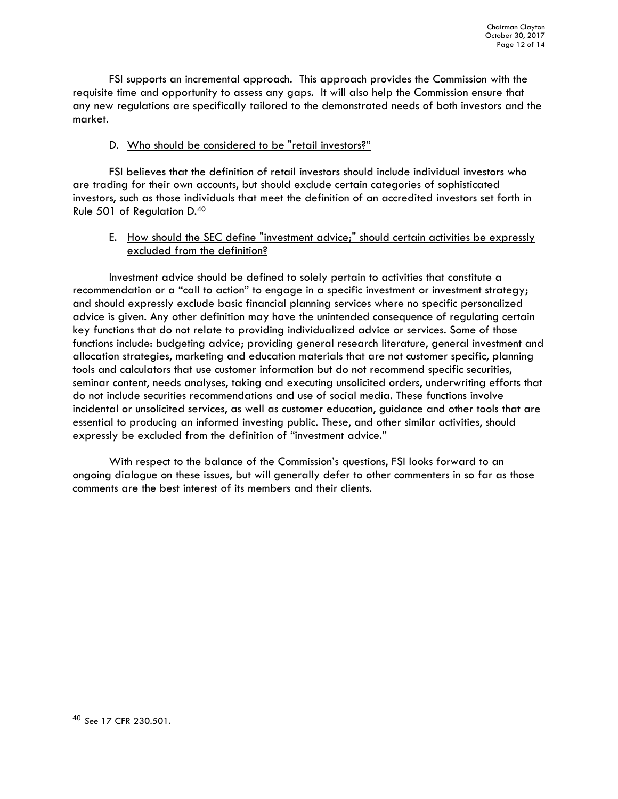FSI supports an incremental approach. This approach provides the Commission with the requisite time and opportunity to assess any gaps. It will also help the Commission ensure that any new regulations are specifically tailored to the demonstrated needs of both investors and the market.

### D. Who should be considered to be "retail investors?"

FSI believes that the definition of retail investors should include individual investors who are trading for their own accounts, but should exclude certain categories of sophisticated investors, such as those individuals that meet the definition of an accredited investors set forth in Rule 501 of Regulation D.<sup>40</sup>

#### E. How should the SEC define "investment advice;" should certain activities be expressly excluded from the definition?

Investment advice should be defined to solely pertain to activities that constitute a recommendation or a "call to action" to engage in a specific investment or investment strategy; and should expressly exclude basic financial planning services where no specific personalized advice is given. Any other definition may have the unintended consequence of regulating certain key functions that do not relate to providing individualized advice or services. Some of those functions include: budgeting advice; providing general research literature, general investment and allocation strategies, marketing and education materials that are not customer specific, planning tools and calculators that use customer information but do not recommend specific securities, seminar content, needs analyses, taking and executing unsolicited orders, underwriting efforts that do not include securities recommendations and use of social media. These functions involve incidental or unsolicited services, as well as customer education, guidance and other tools that are essential to producing an informed investing public. These, and other similar activities, should expressly be excluded from the definition of "investment advice."

With respect to the balance of the Commission's questions, FSI looks forward to an ongoing dialogue on these issues, but will generally defer to other commenters in so far as those comments are the best interest of its members and their clients.

<sup>40</sup> *See* 17 CFR 230.501.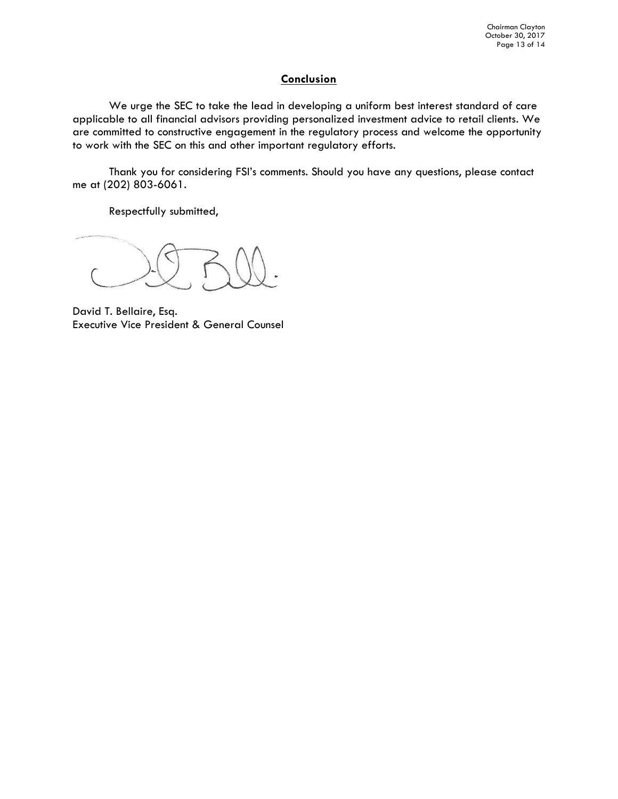### **Conclusion**

We urge the SEC to take the lead in developing a uniform best interest standard of care applicable to all financial advisors providing personalized investment advice to retail clients. We are committed to constructive engagement in the regulatory process and welcome the opportunity to work with the SEC on this and other important regulatory efforts.

Thank you for considering FSI's comments. Should you have any questions, please contact me at (202) 803-6061.

Respectfully submitted,

David T. Bellaire, Esq. Executive Vice President & General Counsel